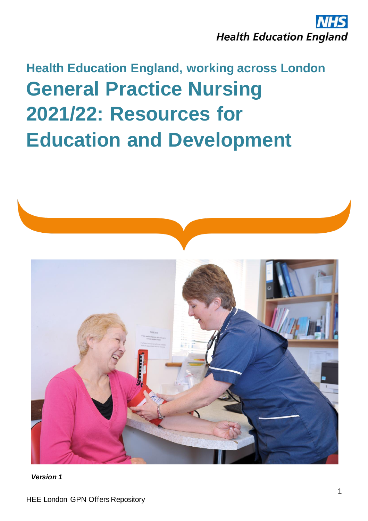

## **Health Education England, working across London General Practice Nursing 2021/22: Resources for Education and Development**



*Version 1*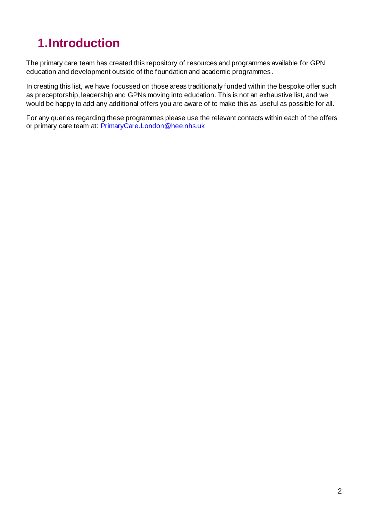## **1.Introduction**

The primary care team has created this repository of resources and programmes available for GPN education and development outside of the foundation and academic programmes.

In creating this list, we have focussed on those areas traditionally funded within the bespoke offer such as preceptorship, leadership and GPNs moving into education. This is not an exhaustive list, and we would be happy to add any additional offers you are aware of to make this as useful as possible for all.

For any queries regarding these programmes please use the relevant contacts within each of the offers or primary care team at: [PrimaryCare.London@hee.nhs.uk](mailto:PrimaryCare.London@hee.nhs.uk)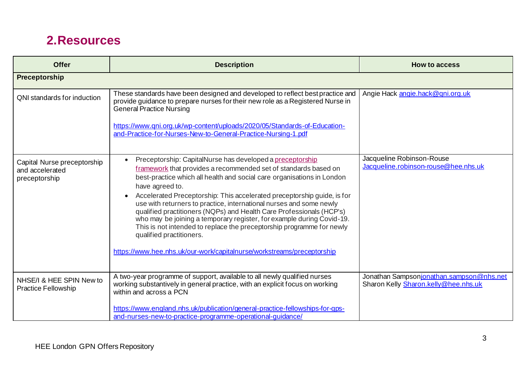## **2.Resources**

| <b>Offer</b>                                                    | <b>Description</b>                                                                                                                                                                                                                                                                                                                                                                                                                                                                                                                                                                                                                                                                                                       | <b>How to access</b>                                                             |
|-----------------------------------------------------------------|--------------------------------------------------------------------------------------------------------------------------------------------------------------------------------------------------------------------------------------------------------------------------------------------------------------------------------------------------------------------------------------------------------------------------------------------------------------------------------------------------------------------------------------------------------------------------------------------------------------------------------------------------------------------------------------------------------------------------|----------------------------------------------------------------------------------|
| Preceptorship                                                   |                                                                                                                                                                                                                                                                                                                                                                                                                                                                                                                                                                                                                                                                                                                          |                                                                                  |
| QNI standards for induction                                     | These standards have been designed and developed to reflect best practice and<br>provide guidance to prepare nurses for their new role as a Registered Nurse in<br><b>General Practice Nursing</b><br>https://www.qni.org.uk/wp-content/uploads/2020/05/Standards-of-Education-<br>and-Practice-for-Nurses-New-to-General-Practice-Nursing-1.pdf                                                                                                                                                                                                                                                                                                                                                                         | Angie Hack angie.hack@gni.org.uk                                                 |
| Capital Nurse preceptorship<br>and accelerated<br>preceptorship | Preceptorship: CapitalNurse has developed a preceptorship<br>framework that provides a recommended set of standards based on<br>best-practice which all health and social care organisations in London<br>have agreed to.<br>Accelerated Preceptorship: This accelerated preceptorship guide, is for<br>$\bullet$<br>use with returners to practice, international nurses and some newly<br>qualified practitioners (NQPs) and Health Care Professionals (HCP's)<br>who may be joining a temporary register, for example during Covid-19.<br>This is not intended to replace the preceptorship programme for newly<br>qualified practitioners.<br>https://www.hee.nhs.uk/our-work/capitalnurse/workstreams/preceptorship | Jacqueline Robinson-Rouse<br>Jacqueline.robinson-rouse@hee.nhs.uk                |
| NHSE/I & HEE SPIN New to<br><b>Practice Fellowship</b>          | A two-year programme of support, available to all newly qualified nurses<br>working substantively in general practice, with an explicit focus on working<br>within and across a PCN<br>https://www.england.nhs.uk/publication/general-practice-fellowships-for-gps-<br>and-nurses-new-to-practice-programme-operational-guidance/                                                                                                                                                                                                                                                                                                                                                                                        | Jonathan Sampsonjonathan.sampson@nhs.net<br>Sharon Kelly Sharon.kelly@hee.nhs.uk |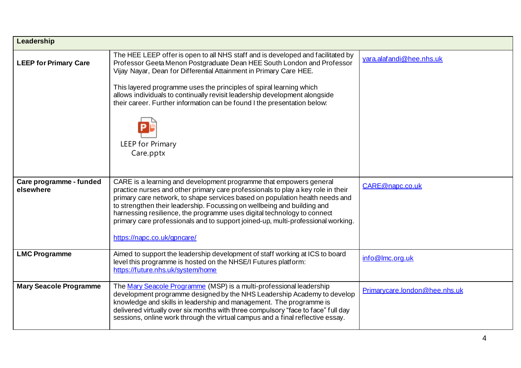| Leadership                           |                                                                                                                                                                                                                                                                                                                                                                                                                                                                                                                 |                               |  |  |
|--------------------------------------|-----------------------------------------------------------------------------------------------------------------------------------------------------------------------------------------------------------------------------------------------------------------------------------------------------------------------------------------------------------------------------------------------------------------------------------------------------------------------------------------------------------------|-------------------------------|--|--|
| <b>LEEP for Primary Care</b>         | The HEE LEEP offer is open to all NHS staff and is developed and facilitated by<br>Professor Geeta Menon Postgraduate Dean HEE South London and Professor<br>Vijay Nayar, Dean for Differential Attainment in Primary Care HEE.<br>This layered programme uses the principles of spiral learning which<br>allows individuals to continually revisit leadership development alongside<br>their career. Further information can be found I the presentation below:<br><b>LEEP for Primary</b><br>Care.pptx        | yara.alafandi@hee.nhs.uk      |  |  |
| Care programme - funded<br>elsewhere | CARE is a learning and development programme that empowers general<br>practice nurses and other primary care professionals to play a key role in their<br>primary care network, to shape services based on population health needs and<br>to strengthen their leadership. Focussing on wellbeing and building and<br>harnessing resilience, the programme uses digital technology to connect<br>primary care professionals and to support joined-up, multi-professional working.<br>https://napc.co.uk/gpncare/ | CARE@napc.co.uk               |  |  |
| <b>LMC Programme</b>                 | Aimed to support the leadership development of staff working at ICS to board<br>level this programme is hosted on the NHSE/I Futures platform:<br>https://future.nhs.uk/system/home                                                                                                                                                                                                                                                                                                                             | info@lmc.org.uk               |  |  |
| <b>Mary Seacole Programme</b>        | The Mary Seacole Programme (MSP) is a multi-professional leadership<br>development programme designed by the NHS Leadership Academy to develop<br>knowledge and skills in leadership and management. The programme is<br>delivered virtually over six months with three compulsory "face to face" full day<br>sessions, online work through the virtual campus and a final reflective essay.                                                                                                                    | Primarycare.london@hee.nhs.uk |  |  |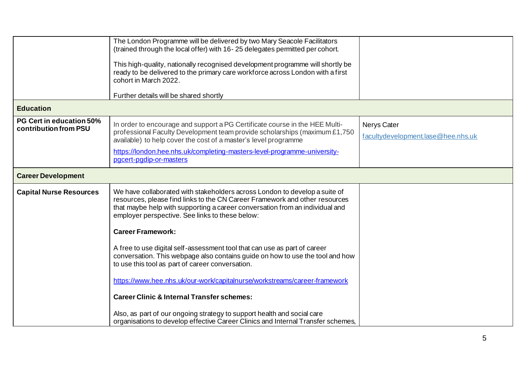|                                                          | The London Programme will be delivered by two Mary Seacole Facilitators<br>(trained through the local offer) with 16-25 delegates permitted per cohort.                                                                                                                                      |                                                          |
|----------------------------------------------------------|----------------------------------------------------------------------------------------------------------------------------------------------------------------------------------------------------------------------------------------------------------------------------------------------|----------------------------------------------------------|
|                                                          | This high-quality, nationally recognised development programme will shortly be<br>ready to be delivered to the primary care workforce across London with a first<br>cohort in March 2022.                                                                                                    |                                                          |
|                                                          | Further details will be shared shortly                                                                                                                                                                                                                                                       |                                                          |
| <b>Education</b>                                         |                                                                                                                                                                                                                                                                                              |                                                          |
| <b>PG Cert in education 50%</b><br>contribution from PSU | In order to encourage and support a PG Certificate course in the HEE Multi-<br>professional Faculty Development team provide scholarships (maximum £1,750<br>available) to help cover the cost of a master's level programme                                                                 | <b>Nerys Cater</b><br>facultydevelopment.lase@hee.nhs.uk |
|                                                          | https://london.hee.nhs.uk/completing-masters-level-programme-university-<br>pgcert-pgdip-or-masters                                                                                                                                                                                          |                                                          |
| <b>Career Development</b>                                |                                                                                                                                                                                                                                                                                              |                                                          |
| <b>Capital Nurse Resources</b>                           | We have collaborated with stakeholders across London to develop a suite of<br>resources, please find links to the CN Career Framework and other resources<br>that maybe help with supporting a career conversation from an individual and<br>employer perspective. See links to these below: |                                                          |
|                                                          | <b>Career Framework:</b>                                                                                                                                                                                                                                                                     |                                                          |
|                                                          | A free to use digital self-assessment tool that can use as part of career<br>conversation. This webpage also contains guide on how to use the tool and how<br>to use this tool as part of career conversation.                                                                               |                                                          |
|                                                          | https://www.hee.nhs.uk/our-work/capitalnurse/workstreams/career-framework                                                                                                                                                                                                                    |                                                          |
|                                                          | <b>Career Clinic &amp; Internal Transfer schemes:</b>                                                                                                                                                                                                                                        |                                                          |
|                                                          | Also, as part of our ongoing strategy to support health and social care<br>organisations to develop effective Career Clinics and Internal Transfer schemes,                                                                                                                                  |                                                          |